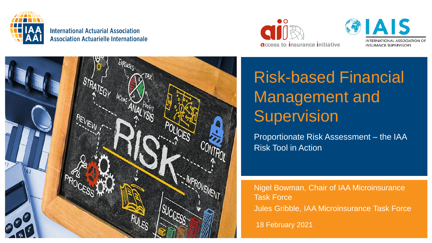

**International Actuarial Association Association Actuarielle Internationale** 



**DIAIS TERNATIONAL ASSOCIATION OF** INSURANCE SUPERVISORS



# Risk-based Financial Management and **Supervision**

Proportionate Risk Assessment – the IAA Risk Tool in Action

Nigel Bowman, Chair of IAA Microinsurance Task Force Jules Gribble, IAA Microinsurance Task Force

18 February 2021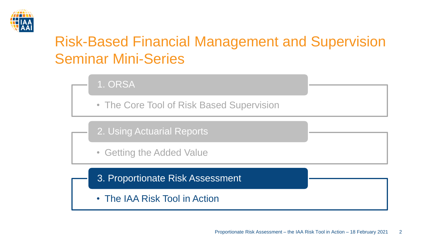

# Risk-Based Financial Management and Supervision Seminar Mini-Series

1. ORSA

• The Core Tool of Risk Based Supervision

2. Using Actuarial Reports

• Getting the Added Value

3. Proportionate Risk Assessment

• The IAA Risk Tool in Action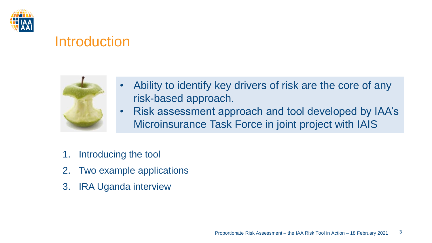

### **Introduction**



- Ability to identify key drivers of risk are the core of any risk-based approach.
- Risk assessment approach and tool developed by IAA's Microinsurance Task Force in joint project with IAIS
- 1. Introducing the tool
- 2. Two example applications
- 3. IRA Uganda interview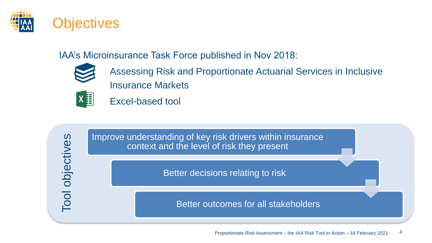

#### IAA's Microinsurance Task Force published in Nov 2018:



Assessing Risk and Proportionate Actuarial Services in Inclusive Insurance Markets



Tool objectives

Tool objectives

Excel-based tool

Improve understanding of key risk drivers within insurance context and the level of risk they present

Better decisions relating to risk

Better outcomes for all stakeholders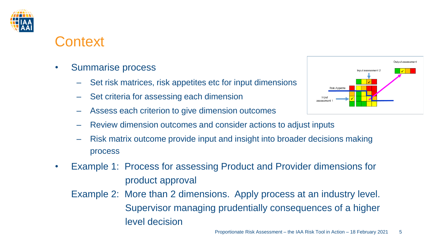

### **Context**

- Summarise process
	- Set risk matrices, risk appetites etc for input dimensions
	- Set criteria for assessing each dimension
	- Assess each criterion to give dimension outcomes
	- Review dimension outcomes and consider actions to adjust inputs
	- Risk matrix outcome provide input and insight into broader decisions making process
- Example 1: Process for assessing Product and Provider dimensions for product approval
	- Example 2: More than 2 dimensions. Apply process at an industry level. Supervisor managing prudentially consequences of a higher level decision

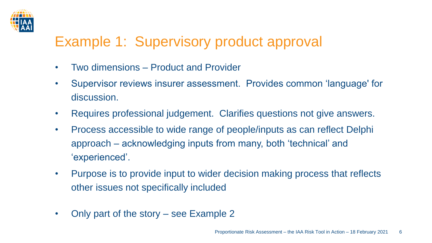

# Example 1: Supervisory product approval

- Two dimensions Product and Provider
- Supervisor reviews insurer assessment. Provides common 'language' for discussion.
- Requires professional judgement. Clarifies questions not give answers.
- Process accessible to wide range of people/inputs as can reflect Delphi approach – acknowledging inputs from many, both 'technical' and 'experienced'.
- Purpose is to provide input to wider decision making process that reflects other issues not specifically included
- Only part of the story see Example 2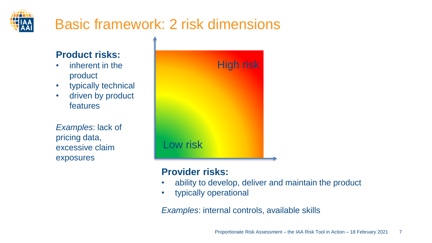# Basic framework: 2 risk dimensions

t

#### **Product risks:**

- inherent in the product
- typically technical
- driven by product features

*Examples*: lack of pricing data, excessive claim exposures

|          | High risk |
|----------|-----------|
|          |           |
|          |           |
| Low risk |           |

#### **Provider risks:**

- ability to develop, deliver and maintain the product
- typically operational

*Examples*: internal controls, available skills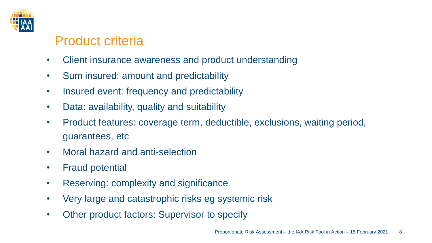

### Product criteria

- Client insurance awareness and product understanding
- Sum insured: amount and predictability
- Insured event: frequency and predictability
- Data: availability, quality and suitability
- Product features: coverage term, deductible, exclusions, waiting period, guarantees, etc
- Moral hazard and anti-selection
- Fraud potential
- Reserving: complexity and significance
- Very large and catastrophic risks eg systemic risk
- Other product factors: Supervisor to specify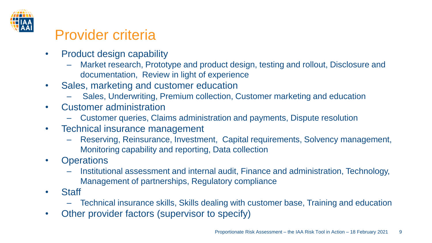

## Provider criteria

- Product design capability
	- Market research, Prototype and product design, testing and rollout, Disclosure and documentation, Review in light of experience
- Sales, marketing and customer education
	- Sales, Underwriting, Premium collection, Customer marketing and education
- Customer administration
	- Customer queries, Claims administration and payments, Dispute resolution
- Technical insurance management
	- Reserving, Reinsurance, Investment, Capital requirements, Solvency management, Monitoring capability and reporting, Data collection
- Operations
	- Institutional assessment and internal audit, Finance and administration, Technology, Management of partnerships, Regulatory compliance
- Staff
	- Technical insurance skills, Skills dealing with customer base, Training and education
- Other provider factors (supervisor to specify)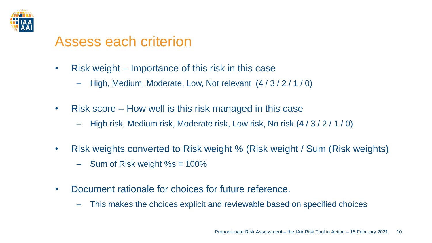

### Assess each criterion

- Risk weight Importance of this risk in this case
	- High, Medium, Moderate, Low, Not relevant (4 / 3 / 2 / 1 / 0)
- Risk score How well is this risk managed in this case
	- High risk, Medium risk, Moderate risk, Low risk, No risk (4 / 3 / 2 / 1 / 0)
- Risk weights converted to Risk weight % (Risk weight / Sum (Risk weights)
	- $-$  Sum of Risk weight %s = 100%
- Document rationale for choices for future reference.
	- This makes the choices explicit and reviewable based on specified choices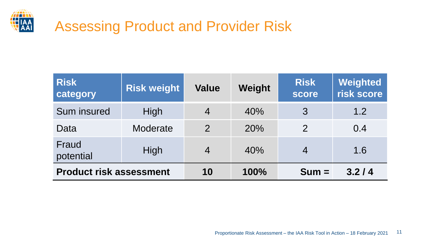

## Assessing Product and Provider Risk

| <b>Risk</b><br>category        | <b>Risk weight</b> | <b>Value</b>   | Weight | <b>Risk</b><br>score | Weighted<br>risk score |
|--------------------------------|--------------------|----------------|--------|----------------------|------------------------|
| Sum insured                    | High               | $\overline{4}$ | 40%    | 3                    | 1.2                    |
| Data                           | Moderate           | 2              | 20%    | 2                    | 0.4                    |
| Fraud<br>potential             | High               | $\overline{4}$ | 40%    | $\overline{4}$       | 1.6                    |
| <b>Product risk assessment</b> |                    | 10             | 100%   | $Sum =$              | 3.2/4                  |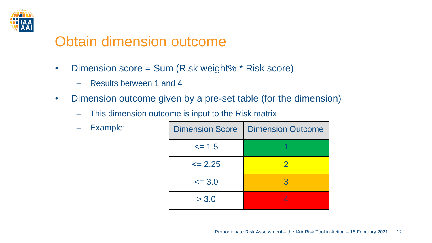

### Obtain dimension outcome

- Dimension score = Sum (Risk weight% \* Risk score)
	- Results between 1 and 4
- Dimension outcome given by a pre-set table (for the dimension)
	- This dimension outcome is input to the Risk matrix
	- Example:

| <b>Dimension Score</b> | <b>Dimension Outcome</b> |
|------------------------|--------------------------|
| $\leq$ 1.5             |                          |
| $\leq$ 2.25            | $\mathcal{P}$            |
| $\leq$ 3.0             | З                        |
| > 3.0                  |                          |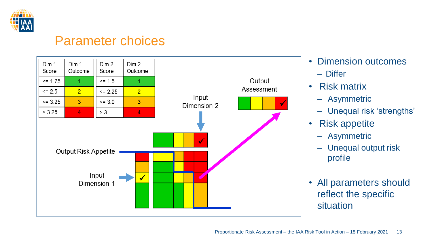

#### Parameter choices



- Dimension outcomes
	- Differ
- Risk matrix
	- Asymmetric
	- Unequal risk 'strengths'
- Risk appetite
	- Asymmetric
	- Unequal output risk profile
- All parameters should reflect the specific situation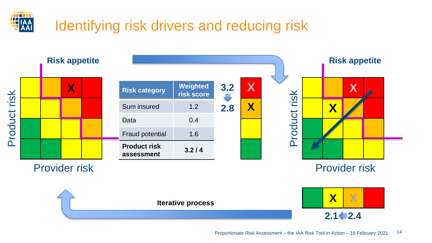

# Identifying risk drivers and reducing risk

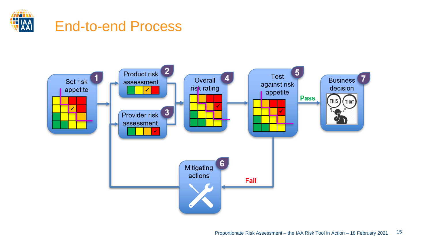

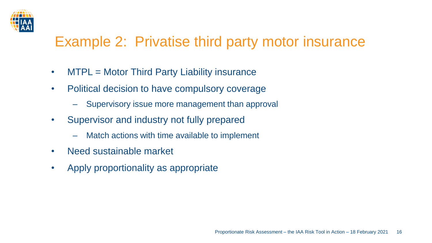

## Example 2: Privatise third party motor insurance

- MTPL = Motor Third Party Liability insurance
- Political decision to have compulsory coverage
	- Supervisory issue more management than approval
- Supervisor and industry not fully prepared
	- Match actions with time available to implement
- Need sustainable market
- Apply proportionality as appropriate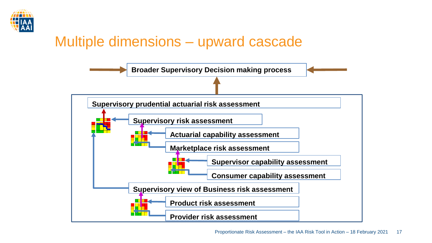

### Multiple dimensions – upward cascade

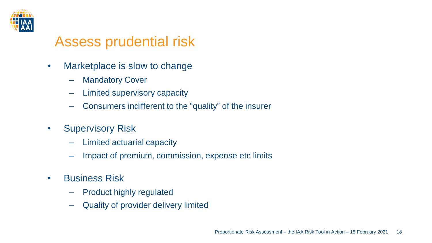

### Assess prudential risk

- Marketplace is slow to change
	- Mandatory Cover
	- Limited supervisory capacity
	- Consumers indifferent to the "quality" of the insurer
- Supervisory Risk
	- Limited actuarial capacity
	- Impact of premium, commission, expense etc limits
- Business Risk
	- Product highly regulated
	- Quality of provider delivery limited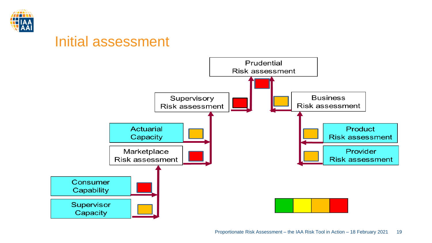

### Initial assessment

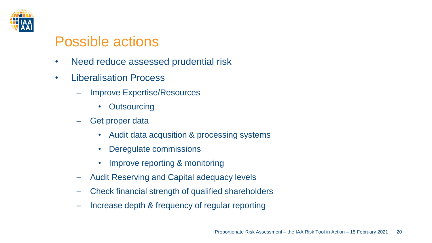

### Possible actions

- Need reduce assessed prudential risk
- Liberalisation Process
	- Improve Expertise/Resources
		- Outsourcing
	- Get proper data
		- Audit data acqusition & processing systems
		- Deregulate commissions
		- Improve reporting & monitoring
	- Audit Reserving and Capital adequacy levels
	- Check financial strength of qualified shareholders
	- Increase depth & frequency of regular reporting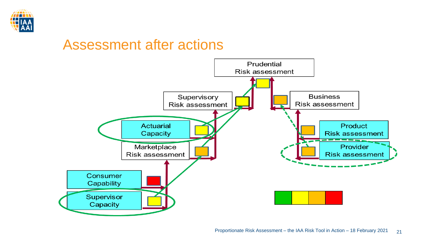

### Assessment after actions

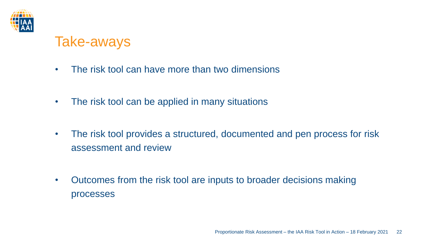

### Take-aways

- The risk tool can have more than two dimensions
- The risk tool can be applied in many situations
- The risk tool provides a structured, documented and pen process for risk assessment and review
- Outcomes from the risk tool are inputs to broader decisions making processes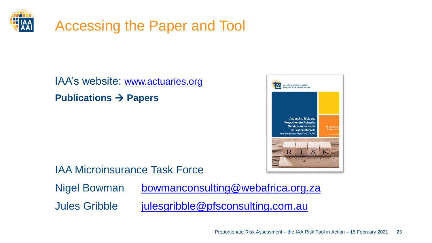

## Accessing the Paper and Tool

### IAA's website: [www.actuaries.org](http://www.actuaries.org/) **Publications** → **Papers**



IAA Microinsurance Task Force

Nigel Bowman [bowmanconsulting@webafrica.org.za](mailto:bowmanconsulting@webafrica.org.za) Jules Gribble *[julesgribble@pfsconsulting.com.au](mailto:julesgribble@pfsconculting.com.au)*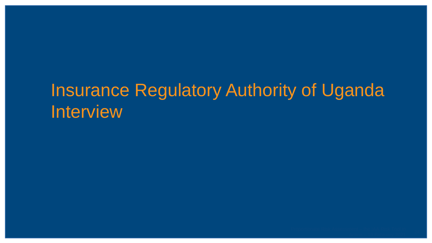# Insurance Regulatory Authority of Uganda Interview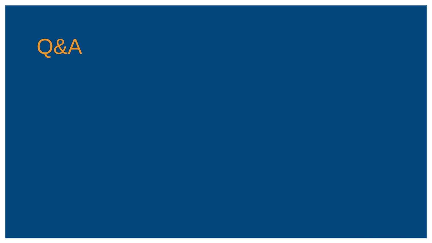